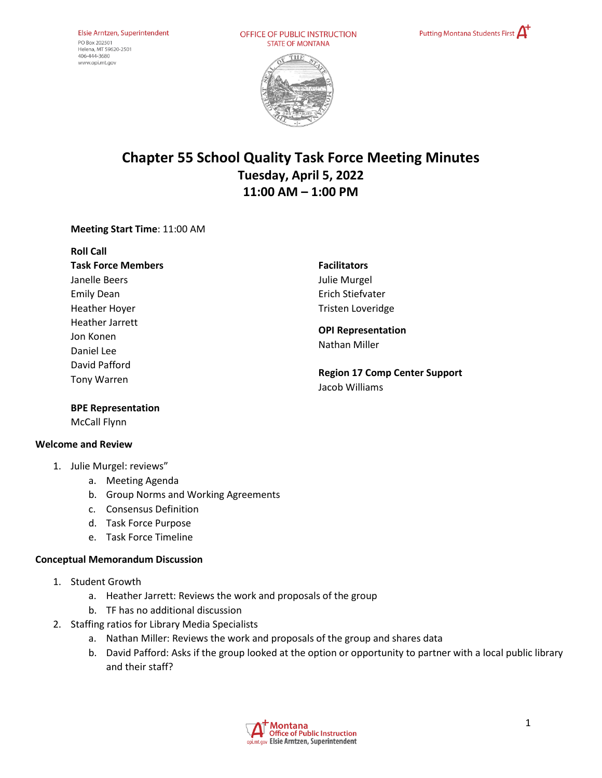OFFICE OF PUBLIC INSTRUCTION **STATE OF MONTANA** 





# **Chapter 55 School Quality Task Force Meeting Minutes Tuesday, April 5, 2022 11:00 AM – 1:00 PM**

## **Meeting Start Time**: 11:00 AM

**Roll Call Task Force Members** Janelle Beers Emily Dean Heather Hoyer Heather Jarrett Jon Konen Daniel Lee David Pafford Tony Warren

**Facilitators**  Julie Murgel Erich Stiefvater Tristen Loveridge

#### **OPI Representation**  Nathan Miller

**Region 17 Comp Center Support** Jacob Williams

#### **BPE Representation**

McCall Flynn

## **Welcome and Review**

- 1. Julie Murgel: reviews"
	- a. Meeting Agenda
	- b. Group Norms and Working Agreements
	- c. Consensus Definition
	- d. Task Force Purpose
	- e. Task Force Timeline

#### **Conceptual Memorandum Discussion**

- 1. Student Growth
	- a. Heather Jarrett: Reviews the work and proposals of the group
	- b. TF has no additional discussion
- 2. Staffing ratios for Library Media Specialists
	- a. Nathan Miller: Reviews the work and proposals of the group and shares data
	- b. David Pafford: Asks if the group looked at the option or opportunity to partner with a local public library and their staff?

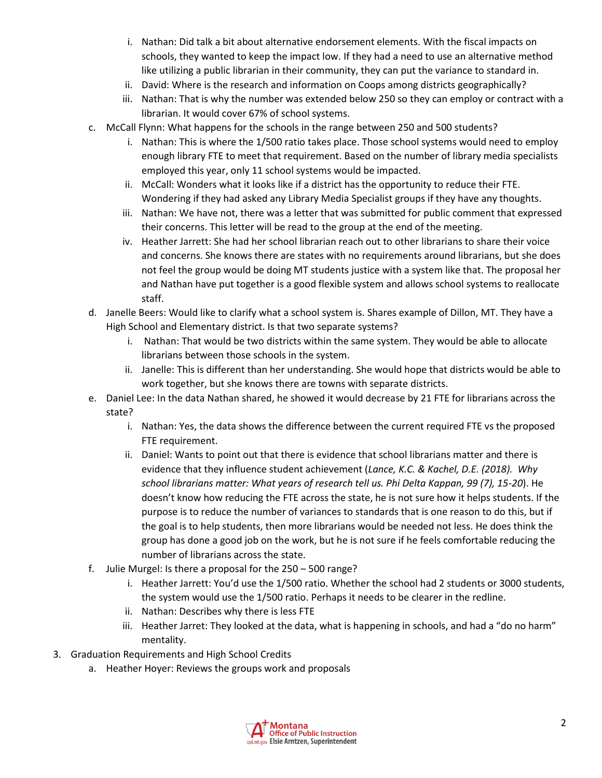- i. Nathan: Did talk a bit about alternative endorsement elements. With the fiscal impacts on schools, they wanted to keep the impact low. If they had a need to use an alternative method like utilizing a public librarian in their community, they can put the variance to standard in.
- ii. David: Where is the research and information on Coops among districts geographically?
- iii. Nathan: That is why the number was extended below 250 so they can employ or contract with a librarian. It would cover 67% of school systems.
- c. McCall Flynn: What happens for the schools in the range between 250 and 500 students?
	- i. Nathan: This is where the 1/500 ratio takes place. Those school systems would need to employ enough library FTE to meet that requirement. Based on the number of library media specialists employed this year, only 11 school systems would be impacted.
	- ii. McCall: Wonders what it looks like if a district has the opportunity to reduce their FTE. Wondering if they had asked any Library Media Specialist groups if they have any thoughts.
	- iii. Nathan: We have not, there was a letter that was submitted for public comment that expressed their concerns. This letter will be read to the group at the end of the meeting.
	- iv. Heather Jarrett: She had her school librarian reach out to other librarians to share their voice and concerns. She knows there are states with no requirements around librarians, but she does not feel the group would be doing MT students justice with a system like that. The proposal her and Nathan have put together is a good flexible system and allows school systems to reallocate staff.
- d. Janelle Beers: Would like to clarify what a school system is. Shares example of Dillon, MT. They have a High School and Elementary district. Is that two separate systems?
	- i. Nathan: That would be two districts within the same system. They would be able to allocate librarians between those schools in the system.
	- ii. Janelle: This is different than her understanding. She would hope that districts would be able to work together, but she knows there are towns with separate districts.
- e. Daniel Lee: In the data Nathan shared, he showed it would decrease by 21 FTE for librarians across the state?
	- i. Nathan: Yes, the data shows the difference between the current required FTE vs the proposed FTE requirement.
	- ii. Daniel: Wants to point out that there is evidence that school librarians matter and there is evidence that they influence student achievement (*Lance, K.C. & Kachel, D.E. (2018). Why school librarians matter: What years of research tell us. Phi Delta Kappan, 99 (7), 15-20*). He doesn't know how reducing the FTE across the state, he is not sure how it helps students. If the purpose is to reduce the number of variances to standards that is one reason to do this, but if the goal is to help students, then more librarians would be needed not less. He does think the group has done a good job on the work, but he is not sure if he feels comfortable reducing the number of librarians across the state.
- f. Julie Murgel: Is there a proposal for the 250 500 range?
	- i. Heather Jarrett: You'd use the 1/500 ratio. Whether the school had 2 students or 3000 students, the system would use the 1/500 ratio. Perhaps it needs to be clearer in the redline.
	- ii. Nathan: Describes why there is less FTE
	- iii. Heather Jarret: They looked at the data, what is happening in schools, and had a "do no harm" mentality.
- 3. Graduation Requirements and High School Credits
	- a. Heather Hoyer: Reviews the groups work and proposals

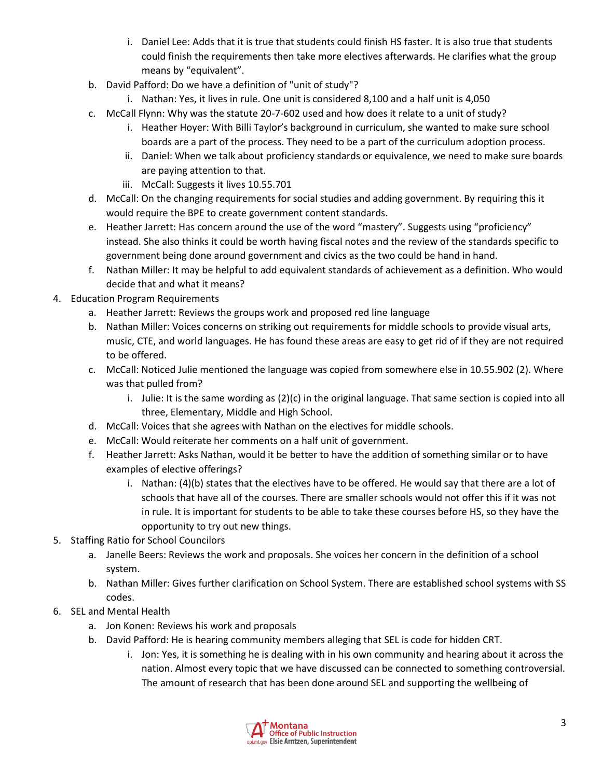- i. Daniel Lee: Adds that it is true that students could finish HS faster. It is also true that students could finish the requirements then take more electives afterwards. He clarifies what the group means by "equivalent".
- b. David Pafford: Do we have a definition of "unit of study"?
	- i. Nathan: Yes, it lives in rule. One unit is considered 8,100 and a half unit is 4,050
- c. McCall Flynn: Why was the statute 20-7-602 used and how does it relate to a unit of study?
	- i. Heather Hoyer: With Billi Taylor's background in curriculum, she wanted to make sure school boards are a part of the process. They need to be a part of the curriculum adoption process.
	- ii. Daniel: When we talk about proficiency standards or equivalence, we need to make sure boards are paying attention to that.
	- iii. McCall: Suggests it lives 10.55.701
- d. McCall: On the changing requirements for social studies and adding government. By requiring this it would require the BPE to create government content standards.
- e. Heather Jarrett: Has concern around the use of the word "mastery". Suggests using "proficiency" instead. She also thinks it could be worth having fiscal notes and the review of the standards specific to government being done around government and civics as the two could be hand in hand.
- f. Nathan Miller: It may be helpful to add equivalent standards of achievement as a definition. Who would decide that and what it means?
- 4. Education Program Requirements
	- a. Heather Jarrett: Reviews the groups work and proposed red line language
	- b. Nathan Miller: Voices concerns on striking out requirements for middle schools to provide visual arts, music, CTE, and world languages. He has found these areas are easy to get rid of if they are not required to be offered.
	- c. McCall: Noticed Julie mentioned the language was copied from somewhere else in 10.55.902 (2). Where was that pulled from?
		- i. Julie: It is the same wording as (2)(c) in the original language. That same section is copied into all three, Elementary, Middle and High School.
	- d. McCall: Voices that she agrees with Nathan on the electives for middle schools.
	- e. McCall: Would reiterate her comments on a half unit of government.
	- f. Heather Jarrett: Asks Nathan, would it be better to have the addition of something similar or to have examples of elective offerings?
		- i. Nathan: (4)(b) states that the electives have to be offered. He would say that there are a lot of schools that have all of the courses. There are smaller schools would not offer this if it was not in rule. It is important for students to be able to take these courses before HS, so they have the opportunity to try out new things.
- 5. Staffing Ratio for School Councilors
	- a. Janelle Beers: Reviews the work and proposals. She voices her concern in the definition of a school system.
	- b. Nathan Miller: Gives further clarification on School System. There are established school systems with SS codes.
- 6. SEL and Mental Health
	- a. Jon Konen: Reviews his work and proposals
	- b. David Pafford: He is hearing community members alleging that SEL is code for hidden CRT.
		- i. Jon: Yes, it is something he is dealing with in his own community and hearing about it across the nation. Almost every topic that we have discussed can be connected to something controversial. The amount of research that has been done around SEL and supporting the wellbeing of

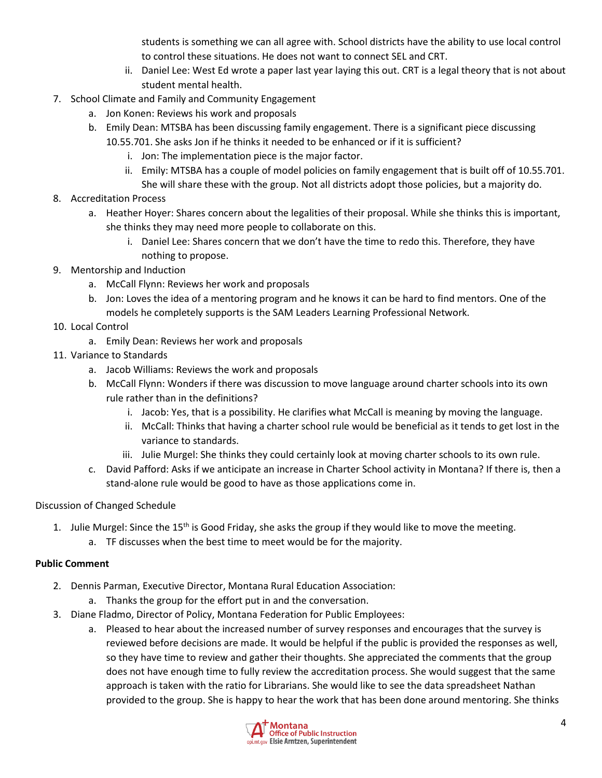students is something we can all agree with. School districts have the ability to use local control to control these situations. He does not want to connect SEL and CRT.

- ii. Daniel Lee: West Ed wrote a paper last year laying this out. CRT is a legal theory that is not about student mental health.
- 7. School Climate and Family and Community Engagement
	- a. Jon Konen: Reviews his work and proposals
	- b. Emily Dean: MTSBA has been discussing family engagement. There is a significant piece discussing 10.55.701. She asks Jon if he thinks it needed to be enhanced or if it is sufficient?
		- i. Jon: The implementation piece is the major factor.
		- ii. Emily: MTSBA has a couple of model policies on family engagement that is built off of 10.55.701. She will share these with the group. Not all districts adopt those policies, but a majority do.
- 8. Accreditation Process
	- a. Heather Hoyer: Shares concern about the legalities of their proposal. While she thinks this is important, she thinks they may need more people to collaborate on this.
		- i. Daniel Lee: Shares concern that we don't have the time to redo this. Therefore, they have nothing to propose.
- 9. Mentorship and Induction
	- a. McCall Flynn: Reviews her work and proposals
	- b. Jon: Loves the idea of a mentoring program and he knows it can be hard to find mentors. One of the models he completely supports is the SAM Leaders Learning Professional Network.
- 10. Local Control
	- a. Emily Dean: Reviews her work and proposals
- 11. Variance to Standards
	- a. Jacob Williams: Reviews the work and proposals
	- b. McCall Flynn: Wonders if there was discussion to move language around charter schools into its own rule rather than in the definitions?
		- i. Jacob: Yes, that is a possibility. He clarifies what McCall is meaning by moving the language.
		- ii. McCall: Thinks that having a charter school rule would be beneficial as it tends to get lost in the variance to standards.
		- iii. Julie Murgel: She thinks they could certainly look at moving charter schools to its own rule.
	- c. David Pafford: Asks if we anticipate an increase in Charter School activity in Montana? If there is, then a stand-alone rule would be good to have as those applications come in.

# Discussion of Changed Schedule

- 1. Julie Murgel: Since the 15<sup>th</sup> is Good Friday, she asks the group if they would like to move the meeting.
	- a. TF discusses when the best time to meet would be for the majority.

# **Public Comment**

- 2. Dennis Parman, Executive Director, Montana Rural Education Association:
	- a. Thanks the group for the effort put in and the conversation.
- 3. Diane Fladmo, Director of Policy, Montana Federation for Public Employees:
	- a. Pleased to hear about the increased number of survey responses and encourages that the survey is reviewed before decisions are made. It would be helpful if the public is provided the responses as well, so they have time to review and gather their thoughts. She appreciated the comments that the group does not have enough time to fully review the accreditation process. She would suggest that the same approach is taken with the ratio for Librarians. She would like to see the data spreadsheet Nathan provided to the group. She is happy to hear the work that has been done around mentoring. She thinks